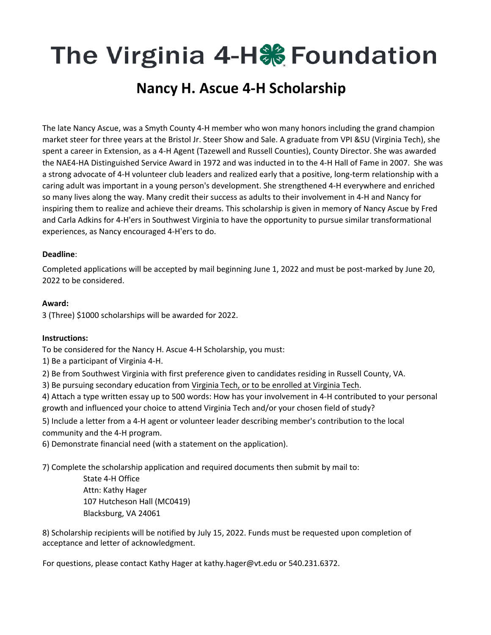## The Virginia 4-H‰ Foundation

### **Nancy H. Ascue 4‐H Scholarship**

The late Nancy Ascue, was a Smyth County 4‐H member who won many honors including the grand champion market steer for three years at the Bristol Jr. Steer Show and Sale. A graduate from VPI &SU (Virginia Tech), she spent a career in Extension, as a 4‐H Agent (Tazewell and Russell Counties), County Director. She was awarded the NAE4‐HA Distinguished Service Award in 1972 and was inducted in to the 4‐H Hall of Fame in 2007. She was a strong advocate of 4‐H volunteer club leaders and realized early that a positive, long‐term relationship with a caring adult was important in a young person's development. She strengthened 4‐H everywhere and enriched so many lives along the way. Many credit their success as adults to their involvement in 4‐H and Nancy for inspiring them to realize and achieve their dreams. This scholarship is given in memory of Nancy Ascue by Fred and Carla Adkins for 4‐H'ers in Southwest Virginia to have the opportunity to pursue similar transformational experiences, as Nancy encouraged 4‐H'ers to do.

#### **Deadline**:

Completed applications will be accepted by mail beginning June 1, 2022 and must be post‐marked by June 20, 2022 to be considered.

#### **Award:**

3 (Three) \$1000 scholarships will be awarded for 2022.

#### **Instructions:**

To be considered for the Nancy H. Ascue 4‐H Scholarship, you must:

- 1) Be a participant of Virginia 4‐H.
- 2) Be from Southwest Virginia with first preference given to candidates residing in Russell County, VA.
- 3) Be pursuing secondary education from Virginia Tech, or to be enrolled at Virginia Tech.
- 4) Attach a type written essay up to 500 words: How has your involvement in 4‐H contributed to your personal growth and influenced your choice to attend Virginia Tech and/or your chosen field of study?
- 5) Include a letter from a 4‐H agent or volunteer leader describing member's contribution to the local community and the 4‐H program.
- 6) Demonstrate financial need (with a statement on the application).
- 7) Complete the scholarship application and required documents then submit by mail to:

State 4‐H Office Attn: Kathy Hager 107 Hutcheson Hall (MC0419) Blacksburg, VA 24061

8) Scholarship recipients will be notified by July 15, 2022. Funds must be requested upon completion of acceptance and letter of acknowledgment.

For questions, please contact Kathy Hager at kathy.hager@vt.edu or 540.231.6372.